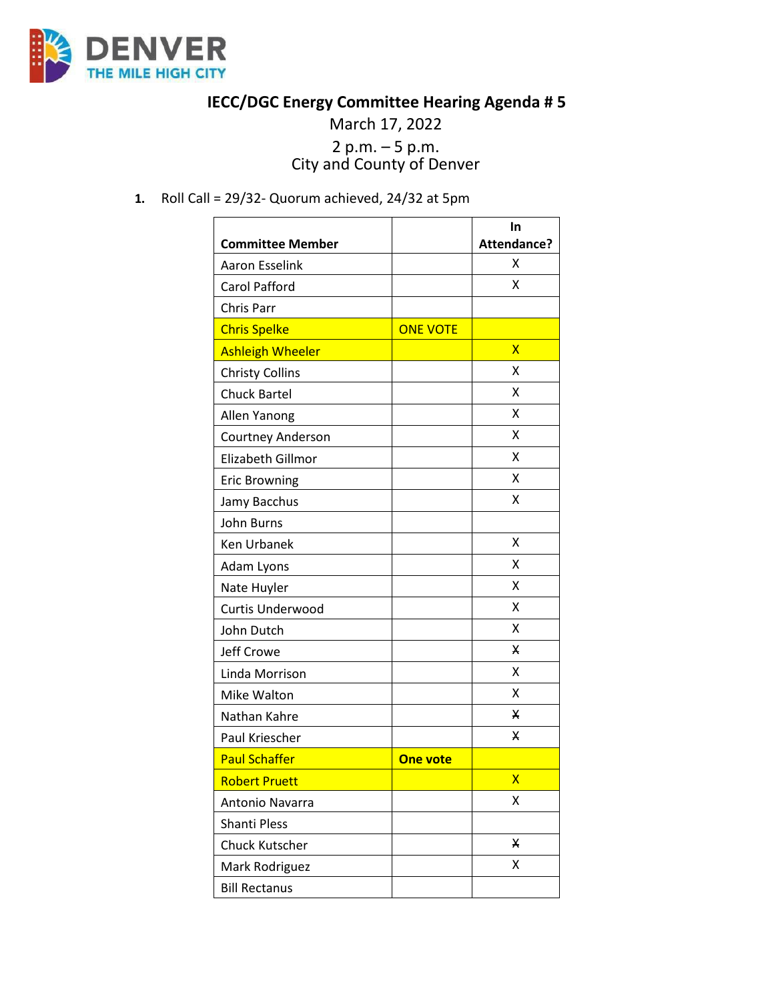

## **IECC/DGC Energy Committee Hearing Agenda # 5**

## March 17, 2022 2 p.m. – 5 p.m. City and County of Denver

**1.** Roll Call = 29/32- Quorum achieved, 24/32 at 5pm

|                         |                 | In                 |
|-------------------------|-----------------|--------------------|
| <b>Committee Member</b> |                 | <b>Attendance?</b> |
| <b>Aaron Esselink</b>   |                 | X                  |
| <b>Carol Pafford</b>    |                 | Χ                  |
| Chris Parr              |                 |                    |
| <b>Chris Spelke</b>     | <b>ONE VOTE</b> |                    |
| <b>Ashleigh Wheeler</b> |                 | $\mathsf{x}$       |
| <b>Christy Collins</b>  |                 | X                  |
| <b>Chuck Bartel</b>     |                 | X                  |
| Allen Yanong            |                 | X                  |
| Courtney Anderson       |                 | Χ                  |
| Elizabeth Gillmor       |                 | X                  |
| <b>Eric Browning</b>    |                 | x                  |
| Jamy Bacchus            |                 | X                  |
| John Burns              |                 |                    |
| <b>Ken Urbanek</b>      |                 | X                  |
| Adam Lyons              |                 | x                  |
| Nate Huyler             |                 | X                  |
| Curtis Underwood        |                 | x                  |
| John Dutch              |                 | X                  |
| Jeff Crowe              |                 | X                  |
| Linda Morrison          |                 | x                  |
| Mike Walton             |                 | Χ                  |
| Nathan Kahre            |                 | x                  |
| Paul Kriescher          |                 | x                  |
| <b>Paul Schaffer</b>    | <b>One vote</b> |                    |
| <b>Robert Pruett</b>    |                 | X                  |
| Antonio Navarra         |                 | x                  |
| Shanti Pless            |                 |                    |
| <b>Chuck Kutscher</b>   |                 | X                  |
| Mark Rodriguez          |                 | Χ                  |
| <b>Bill Rectanus</b>    |                 |                    |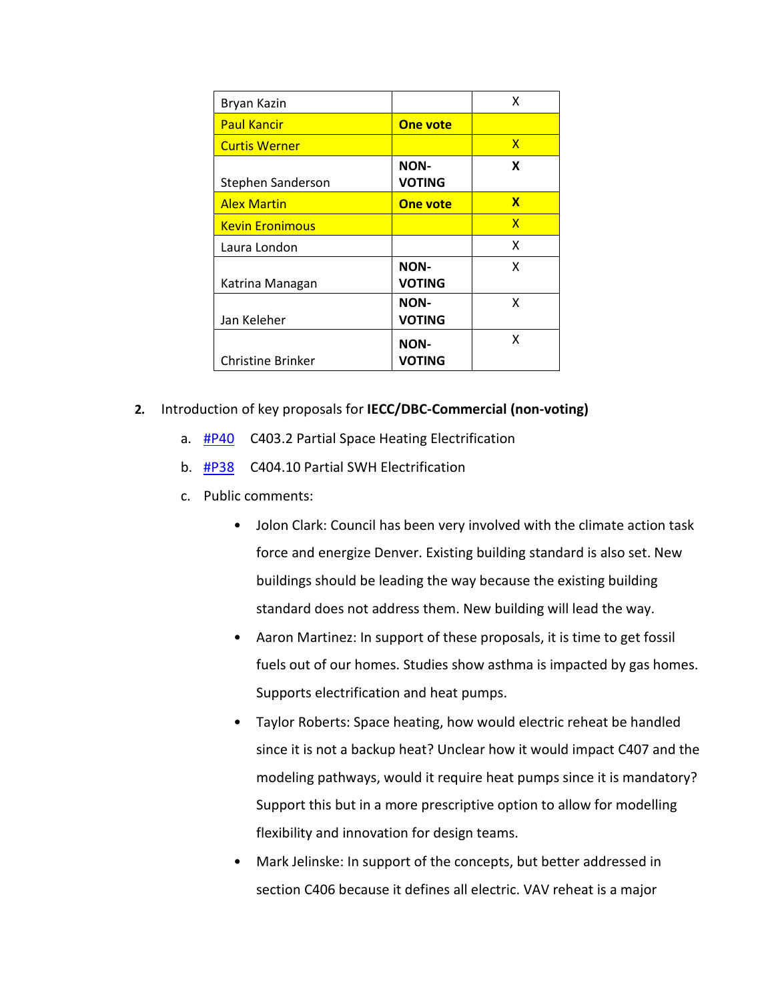| Bryan Kazin            |                              | x |
|------------------------|------------------------------|---|
| <b>Paul Kancir</b>     | <b>One vote</b>              |   |
| <b>Curtis Werner</b>   |                              | X |
| Stephen Sanderson      | <b>NON-</b><br><b>VOTING</b> | X |
| <b>Alex Martin</b>     | <b>One vote</b>              | X |
| <b>Kevin Eronimous</b> |                              | x |
| Laura London           |                              | x |
| Katrina Managan        | <b>NON-</b><br><b>VOTING</b> | x |
| Jan Keleher            | <b>NON-</b><br><b>VOTING</b> | x |
| Christine Brinker      | <b>NON-</b><br><b>VOTING</b> | x |

- **2.** Introduction of key proposals for **IECC/DBC-Commercial (non-voting)**
	- a. [#P40](https://www.denvergov.org/files/assets/public/community-planning-and-development/documents/ds/building-codes/code-adoption/amendment-proposals/iecc/iecc_c403.2_com.pdf) C403.2 Partial Space Heating Electrification
	- b. [#P38](https://www.denvergov.org/files/assets/public/community-planning-and-development/documents/ds/building-codes/code-adoption/amendment-proposals/iecc/iecc_c404.10_com.pdf) C404.10 Partial SWH Electrification
	- c. Public comments:
		- Jolon Clark: Council has been very involved with the climate action task force and energize Denver. Existing building standard is also set. New buildings should be leading the way because the existing building standard does not address them. New building will lead the way.
		- Aaron Martinez: In support of these proposals, it is time to get fossil fuels out of our homes. Studies show asthma is impacted by gas homes. Supports electrification and heat pumps.
		- Taylor Roberts: Space heating, how would electric reheat be handled since it is not a backup heat? Unclear how it would impact C407 and the modeling pathways, would it require heat pumps since it is mandatory? Support this but in a more prescriptive option to allow for modelling flexibility and innovation for design teams.
		- Mark Jelinske: In support of the concepts, but better addressed in section C406 because it defines all electric. VAV reheat is a major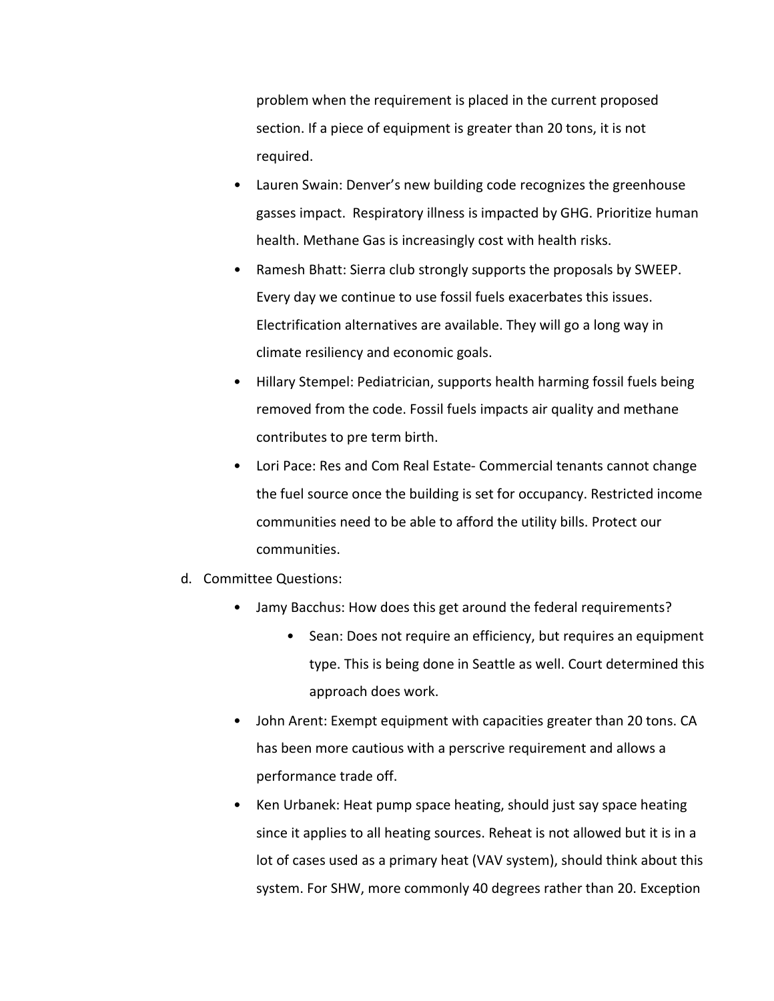problem when the requirement is placed in the current proposed section. If a piece of equipment is greater than 20 tons, it is not required.

- Lauren Swain: Denver's new building code recognizes the greenhouse gasses impact. Respiratory illness is impacted by GHG. Prioritize human health. Methane Gas is increasingly cost with health risks.
- Ramesh Bhatt: Sierra club strongly supports the proposals by SWEEP. Every day we continue to use fossil fuels exacerbates this issues. Electrification alternatives are available. They will go a long way in climate resiliency and economic goals.
- Hillary Stempel: Pediatrician, supports health harming fossil fuels being removed from the code. Fossil fuels impacts air quality and methane contributes to pre term birth.
- Lori Pace: Res and Com Real Estate- Commercial tenants cannot change the fuel source once the building is set for occupancy. Restricted income communities need to be able to afford the utility bills. Protect our communities.
- d. Committee Questions:
	- Jamy Bacchus: How does this get around the federal requirements?
		- Sean: Does not require an efficiency, but requires an equipment type. This is being done in Seattle as well. Court determined this approach does work.
	- John Arent: Exempt equipment with capacities greater than 20 tons. CA has been more cautious with a perscrive requirement and allows a performance trade off.
	- Ken Urbanek: Heat pump space heating, should just say space heating since it applies to all heating sources. Reheat is not allowed but it is in a lot of cases used as a primary heat (VAV system), should think about this system. For SHW, more commonly 40 degrees rather than 20. Exception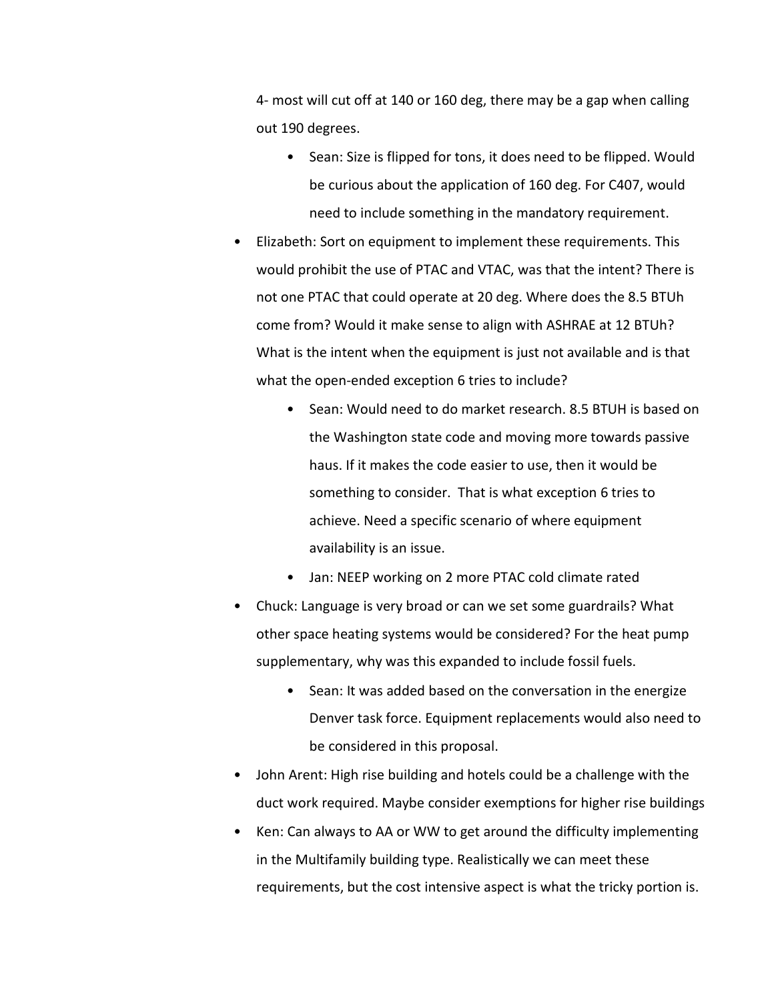4- most will cut off at 140 or 160 deg, there may be a gap when calling out 190 degrees.

- Sean: Size is flipped for tons, it does need to be flipped. Would be curious about the application of 160 deg. For C407, would need to include something in the mandatory requirement.
- Elizabeth: Sort on equipment to implement these requirements. This would prohibit the use of PTAC and VTAC, was that the intent? There is not one PTAC that could operate at 20 deg. Where does the 8.5 BTUh come from? Would it make sense to align with ASHRAE at 12 BTUh? What is the intent when the equipment is just not available and is that what the open-ended exception 6 tries to include?
	- Sean: Would need to do market research. 8.5 BTUH is based on the Washington state code and moving more towards passive haus. If it makes the code easier to use, then it would be something to consider. That is what exception 6 tries to achieve. Need a specific scenario of where equipment availability is an issue.
	- Jan: NEEP working on 2 more PTAC cold climate rated
- Chuck: Language is very broad or can we set some guardrails? What other space heating systems would be considered? For the heat pump supplementary, why was this expanded to include fossil fuels.
	- Sean: It was added based on the conversation in the energize Denver task force. Equipment replacements would also need to be considered in this proposal.
- John Arent: High rise building and hotels could be a challenge with the duct work required. Maybe consider exemptions for higher rise buildings
- Ken: Can always to AA or WW to get around the difficulty implementing in the Multifamily building type. Realistically we can meet these requirements, but the cost intensive aspect is what the tricky portion is.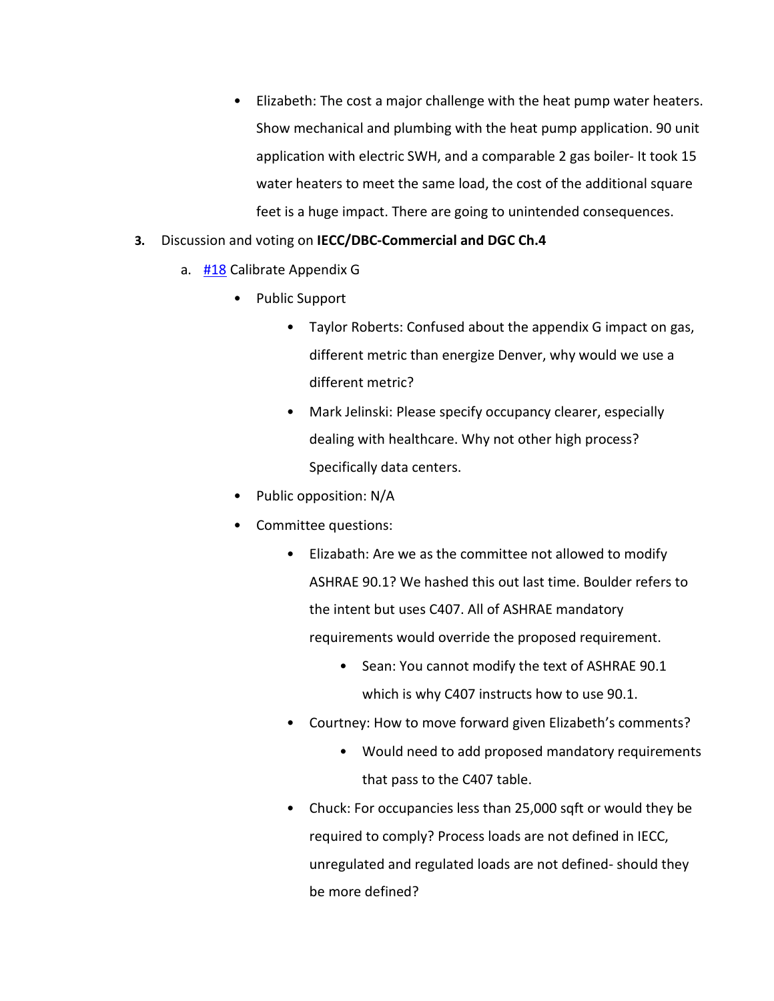- Elizabeth: The cost a major challenge with the heat pump water heaters. Show mechanical and plumbing with the heat pump application. 90 unit application with electric SWH, and a comparable 2 gas boiler- It took 15 water heaters to meet the same load, the cost of the additional square feet is a huge impact. There are going to unintended consequences.
- **3.** Discussion and voting on **IECC/DBC-Commercial and DGC Ch.4** 
	- a. [#18](https://www.denvergov.org/files/assets/public/community-planning-and-development/documents/ds/building-codes/code-adoption/amendment-proposals/iecc/18_iecc_c401.2-limit-modeling-to-appendix-g.pdf) Calibrate Appendix G
		- Public Support
			- Taylor Roberts: Confused about the appendix G impact on gas, different metric than energize Denver, why would we use a different metric?
			- Mark Jelinski: Please specify occupancy clearer, especially dealing with healthcare. Why not other high process? Specifically data centers.
		- Public opposition: N/A
		- Committee questions:
			- Elizabath: Are we as the committee not allowed to modify ASHRAE 90.1? We hashed this out last time. Boulder refers to the intent but uses C407. All of ASHRAE mandatory requirements would override the proposed requirement.
				- Sean: You cannot modify the text of ASHRAE 90.1 which is why C407 instructs how to use 90.1.
			- Courtney: How to move forward given Elizabeth's comments?
				- Would need to add proposed mandatory requirements that pass to the C407 table.
			- Chuck: For occupancies less than 25,000 sqft or would they be required to comply? Process loads are not defined in IECC, unregulated and regulated loads are not defined- should they be more defined?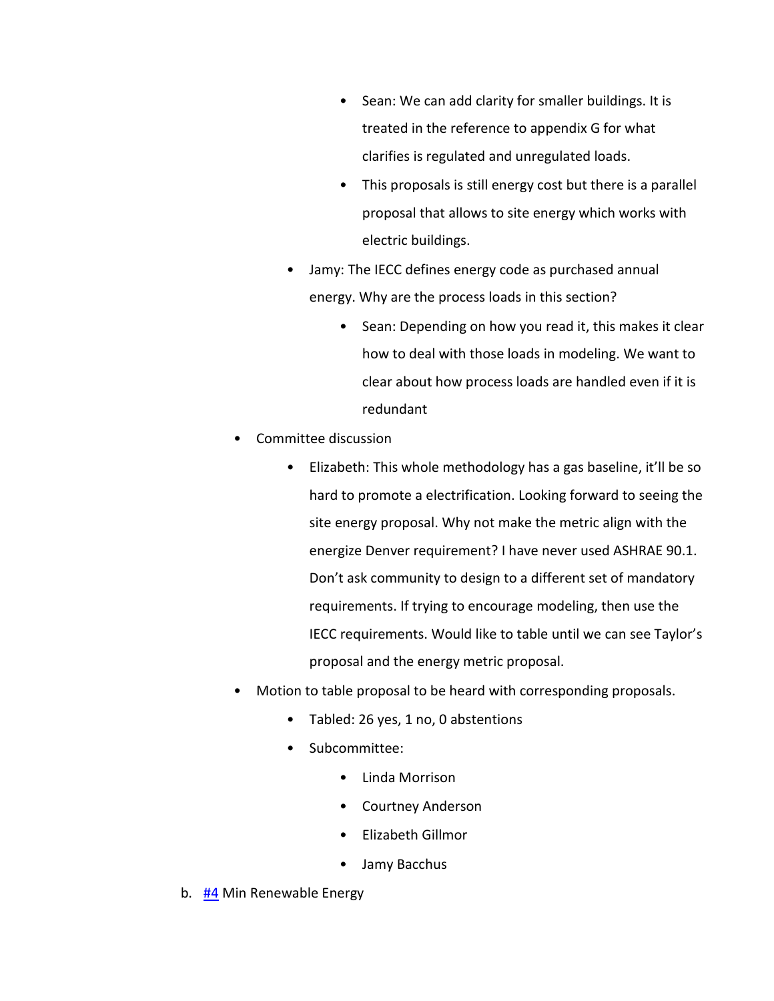- Sean: We can add clarity for smaller buildings. It is treated in the reference to appendix G for what clarifies is regulated and unregulated loads.
- This proposals is still energy cost but there is a parallel proposal that allows to site energy which works with electric buildings.
- Jamy: The IECC defines energy code as purchased annual energy. Why are the process loads in this section?
	- Sean: Depending on how you read it, this makes it clear how to deal with those loads in modeling. We want to clear about how process loads are handled even if it is redundant
- Committee discussion
	- Elizabeth: This whole methodology has a gas baseline, it'll be so hard to promote a electrification. Looking forward to seeing the site energy proposal. Why not make the metric align with the energize Denver requirement? I have never used ASHRAE 90.1. Don't ask community to design to a different set of mandatory requirements. If trying to encourage modeling, then use the IECC requirements. Would like to table until we can see Taylor's proposal and the energy metric proposal.
- Motion to table proposal to be heard with corresponding proposals.
	- Tabled: 26 yes, 1 no, 0 abstentions
	- Subcommittee:
		- Linda Morrison
		- Courtney Anderson
		- Elizabeth Gillmor
		- Jamy Bacchus
- b. [#4](https://www.denvergov.org/files/assets/public/community-planning-and-development/documents/ds/building-codes/code-adoption/amendment-proposals/iecc/4_c103.2_minimum-renewable-energy-commercial.pdf) Min Renewable Energy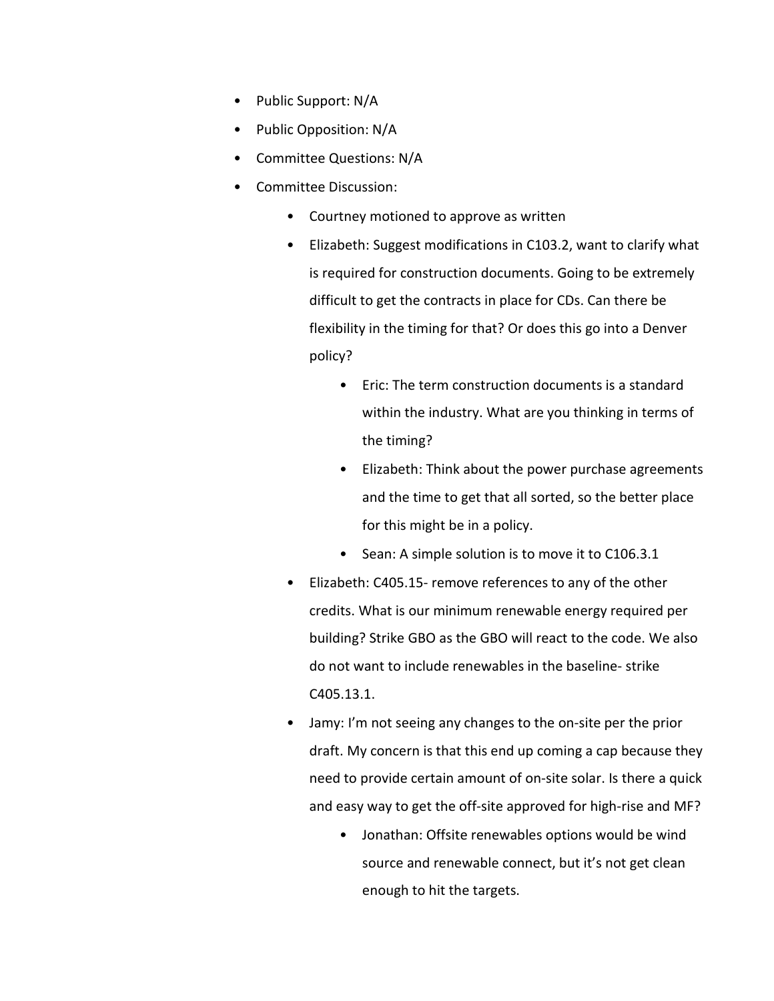- Public Support: N/A
- Public Opposition: N/A
- Committee Questions: N/A
- Committee Discussion:
	- Courtney motioned to approve as written
	- Elizabeth: Suggest modifications in C103.2, want to clarify what is required for construction documents. Going to be extremely difficult to get the contracts in place for CDs. Can there be flexibility in the timing for that? Or does this go into a Denver policy?
		- Eric: The term construction documents is a standard within the industry. What are you thinking in terms of the timing?
		- Elizabeth: Think about the power purchase agreements and the time to get that all sorted, so the better place for this might be in a policy.
		- Sean: A simple solution is to move it to C106.3.1
	- Elizabeth: C405.15- remove references to any of the other credits. What is our minimum renewable energy required per building? Strike GBO as the GBO will react to the code. We also do not want to include renewables in the baseline- strike C405.13.1.
	- Jamy: I'm not seeing any changes to the on-site per the prior draft. My concern is that this end up coming a cap because they need to provide certain amount of on-site solar. Is there a quick and easy way to get the off-site approved for high-rise and MF?
		- Jonathan: Offsite renewables options would be wind source and renewable connect, but it's not get clean enough to hit the targets.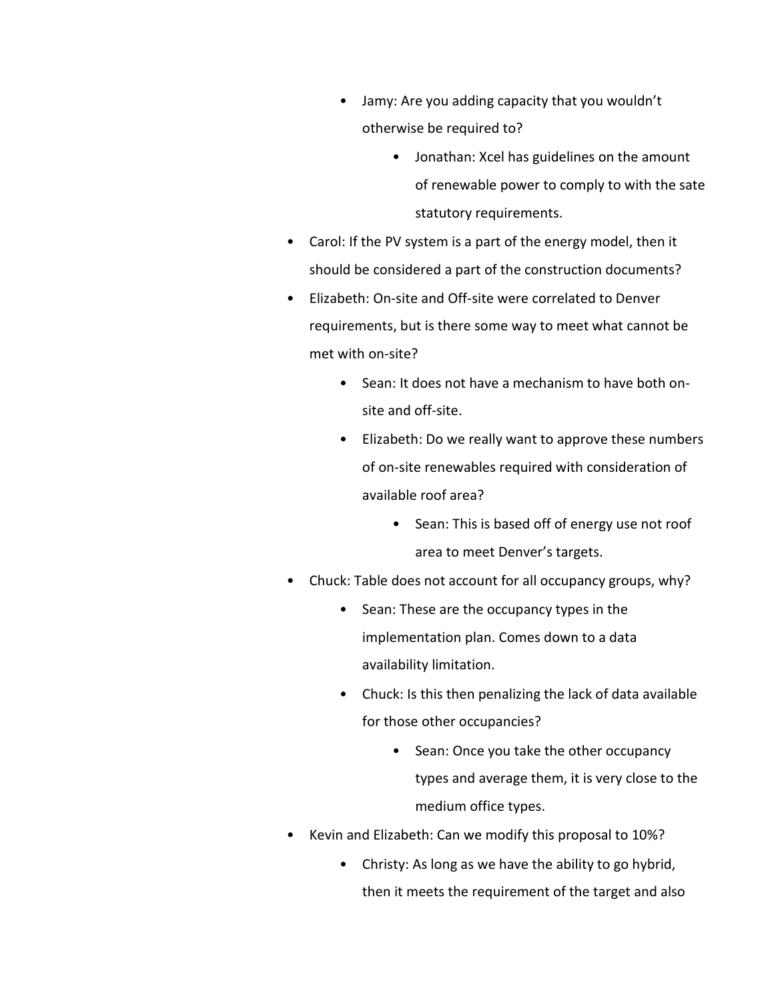- Jamy: Are you adding capacity that you wouldn't otherwise be required to?
	- Jonathan: Xcel has guidelines on the amount of renewable power to comply to with the sate statutory requirements.
- Carol: If the PV system is a part of the energy model, then it should be considered a part of the construction documents?
- Elizabeth: On-site and Off-site were correlated to Denver requirements, but is there some way to meet what cannot be met with on-site?
	- Sean: It does not have a mechanism to have both onsite and off-site.
	- Elizabeth: Do we really want to approve these numbers of on-site renewables required with consideration of available roof area?
		- Sean: This is based off of energy use not roof area to meet Denver's targets.
- Chuck: Table does not account for all occupancy groups, why?
	- Sean: These are the occupancy types in the implementation plan. Comes down to a data availability limitation.
	- Chuck: Is this then penalizing the lack of data available for those other occupancies?
		- Sean: Once you take the other occupancy types and average them, it is very close to the medium office types.
- Kevin and Elizabeth: Can we modify this proposal to 10%?
	- Christy: As long as we have the ability to go hybrid, then it meets the requirement of the target and also